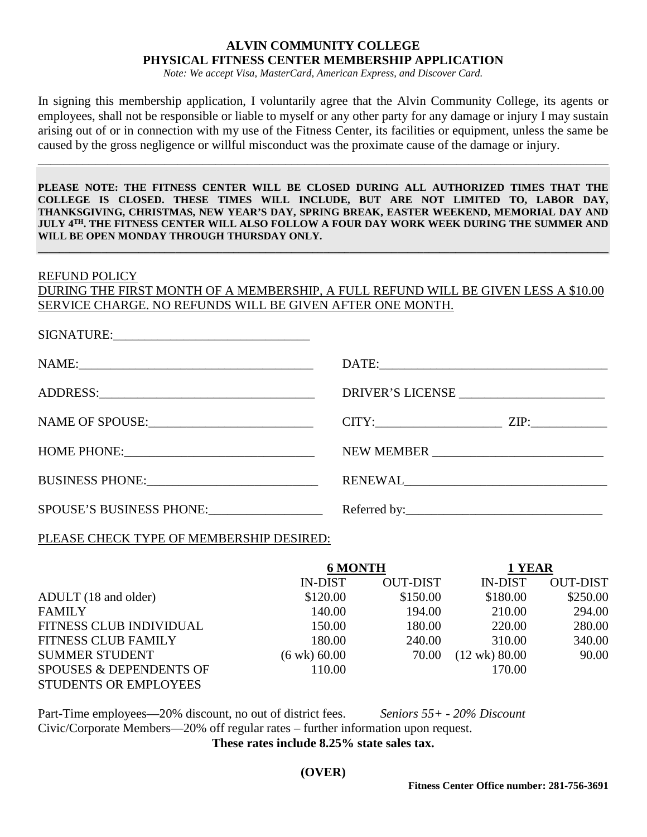# **ALVIN COMMUNITY COLLEGE PHYSICAL FITNESS CENTER MEMBERSHIP APPLICATION**

*Note: We accept Visa, MasterCard, American Express, and Discover Card.*

In signing this membership application, I voluntarily agree that the Alvin Community College, its agents or employees, shall not be responsible or liable to myself or any other party for any damage or injury I may sustain arising out of or in connection with my use of the Fitness Center, its facilities or equipment, unless the same be caused by the gross negligence or willful misconduct was the proximate cause of the damage or injury.

\_\_\_\_\_\_\_\_\_\_\_\_\_\_\_\_\_\_\_\_\_\_\_\_\_\_\_\_\_\_\_\_\_\_\_\_\_\_\_\_\_\_\_\_\_\_\_\_\_\_\_\_\_\_\_\_\_\_\_\_\_\_\_\_\_\_\_\_\_\_\_\_\_\_\_\_\_\_\_\_\_\_\_\_\_\_\_\_\_\_

**PLEASE NOTE: THE FITNESS CENTER WILL BE CLOSED DURING ALL AUTHORIZED TIMES THAT THE COLLEGE IS CLOSED. THESE TIMES WILL INCLUDE, BUT ARE NOT LIMITED TO, LABOR DAY, THANKSGIVING, CHRISTMAS, NEW YEAR'S DAY, SPRING BREAK, EASTER WEEKEND, MEMORIAL DAY AND JULY 4TH. THE FITNESS CENTER WILL ALSO FOLLOW A FOUR DAY WORK WEEK DURING THE SUMMER AND WILL BE OPEN MONDAY THROUGH THURSDAY ONLY.**

**\_\_\_\_\_\_\_\_\_\_\_\_\_\_\_\_\_\_\_\_\_\_\_\_\_\_\_\_\_\_\_\_\_\_\_\_\_\_\_\_\_\_\_\_\_\_\_\_\_\_\_\_\_\_\_\_\_\_\_\_\_\_\_\_\_\_\_\_\_\_\_\_\_\_\_\_\_\_\_\_\_\_\_\_\_\_\_\_\_\_\_\_\_\_\_\_\_\_\_\_\_\_\_\_\_\_\_\_**

#### REFUND POLICY

 $SIGNATURE$ 

DURING THE FIRST MONTH OF A MEMBERSHIP, A FULL REFUND WILL BE GIVEN LESS A \$10.00 SERVICE CHARGE. NO REFUNDS WILL BE GIVEN AFTER ONE MONTH.

|                                                                                                                                                                                                                                | DRIVER'S LICENSE |  |  |
|--------------------------------------------------------------------------------------------------------------------------------------------------------------------------------------------------------------------------------|------------------|--|--|
| NAME OF SPOUSE:                                                                                                                                                                                                                | $CITY:$ $ZIP:$   |  |  |
|                                                                                                                                                                                                                                |                  |  |  |
| BUSINESS PHONE: New York Contract Contract Contract Contract Contract Contract Contract Contract Contract Contract Contract Contract Contract Contract Contract Contract Contract Contract Contract Contract Contract Contract | RENEWAL          |  |  |
| SPOUSE'S BUSINESS PHONE:                                                                                                                                                                                                       |                  |  |  |

PLEASE CHECK TYPE OF MEMBERSHIP DESIRED:

|                              | <b>6 MONTH</b>         |                 | 1 YEAR                  |                 |
|------------------------------|------------------------|-----------------|-------------------------|-----------------|
|                              | <b>IN-DIST</b>         | <b>OUT-DIST</b> | <b>IN-DIST</b>          | <b>OUT-DIST</b> |
| ADULT (18 and older)         | \$120.00               | \$150.00        | \$180.00                | \$250.00        |
| <b>FAMILY</b>                | 140.00                 | 194.00          | 210.00                  | 294.00          |
| FITNESS CLUB INDIVIDUAL      | 150.00                 | 180.00          | 220.00                  | 280.00          |
| <b>FITNESS CLUB FAMILY</b>   | 180.00                 | 240.00          | 310.00                  | 340.00          |
| <b>SUMMER STUDENT</b>        | $(6 \text{ wk}) 60.00$ | 70.00           | $(12 \text{ wk}) 80.00$ | 90.00           |
| SPOUSES & DEPENDENTS OF      | 110.00                 |                 | 170.00                  |                 |
| <b>STUDENTS OR EMPLOYEES</b> |                        |                 |                         |                 |

Part-Time employees—20% discount, no out of district fees. *Seniors 55+ - 20% Discount* Civic/Corporate Members—20% off regular rates – further information upon request. **These rates include 8.25% state sales tax.**

**(OVER)**